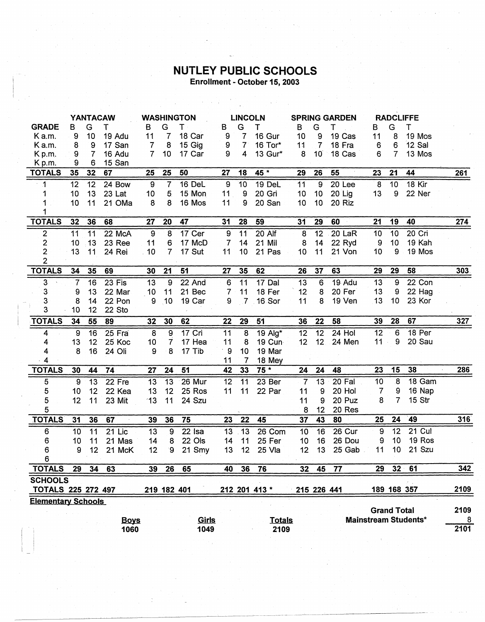## **NUTLEY PUBLIC SCHOOLS**<br>Enrollment - October 15, 2003

 $\epsilon$ 

 $\mathcal{L}^{\text{max}}_{\text{max}}$ 

|                                                                                         | <b>YANTACAW</b> |                |             | <b>WASHINGTON</b> |                          |          | <b>LINCOLN</b>  |                |               | <b>SPRING GARDEN</b> |                 |          | <b>RADCLIFFE</b> |                    |                             |      |
|-----------------------------------------------------------------------------------------|-----------------|----------------|-------------|-------------------|--------------------------|----------|-----------------|----------------|---------------|----------------------|-----------------|----------|------------------|--------------------|-----------------------------|------|
| <b>GRADE</b>                                                                            | В               | G              | т           | B                 | G                        | т        | B               | G              | т             | в                    | G               | т        | В                | G                  | Т                           |      |
| Ka.m.                                                                                   | 9               | 10             | 19 Adu      | 11                | 7                        | 18 Car   | 9               | $\overline{7}$ | 16 Gur        | 10                   | 9               | 19 Cas   | 11               | 8                  | 19 Mos                      |      |
| K a.m.                                                                                  | 8               | 9              | 17 San      | $\overline{7}$    | 8                        | 15 Gig   | 9               | 7 <sup>1</sup> | 16 Tor*       | 11                   | $\mathbf{7}$    | 18 Fra   | 6                | 6                  | 12 Sal                      |      |
| Kp.m.                                                                                   | 9               | $\overline{7}$ | 16 Adu      | $\overline{7}$    | 10 <sub>1</sub>          | 17 Car   | 9               | 4              | 13 Gur*       | 8                    | 10 <sup>°</sup> | 18 Cas   | 6                | 7                  | 13 Mos                      |      |
| K p.m.                                                                                  | 9               | 6              | 15 San      |                   |                          |          |                 |                |               |                      |                 |          |                  |                    |                             |      |
| <b>TOTALS</b>                                                                           | 35              | 32             | 67          | 25                | 25                       | 50       | 27              | 18             | 45 *          | 29                   | 26              | 55       | 23               | 21                 | 44                          | 261  |
| $^{\circ}$ 1                                                                            | 12              | 12             | 24 Bow      | $\boldsymbol{9}$  | $\overline{7}$           | 16 DeL   | 9               | 10             | 19 DeL        | 11                   | $\overline{9}$  | 20 Lee   | 8                | 10                 | 18 Kir                      |      |
| 1                                                                                       | 10              | 13             | 23 Lat      | 10                | 5                        | 15 Mon   | 11              | 9              | 20 Gri        | 10                   | 10              | $20$ Lig | 13               | 9                  | 22 Ner                      |      |
| 1<br>1                                                                                  | 10              | 11             | 21 OMa      | 8                 | 8                        | 16 Mos   | 11              | 9              | 20 San        | 10                   | 10              | 20 Riz   |                  |                    |                             |      |
| <b>TOTALS</b>                                                                           | 32              | 36             | 68          | 27                | 20                       | 47       | 31              | 28             | 59            | 31                   | 29              | 60       | 21               | 19                 | 40                          | 274  |
| $\mathbf{2}$                                                                            | 11              | 11             | 22 McA      | 9                 | 8                        | 17 Cer   | 9               | 11             | 20 Alf        | 8                    | 12              | 20 LaR   | 10               | 10                 | 20 Cri                      |      |
| $\overline{\mathbf{c}}$                                                                 | 10              | 13             | 23 Ree      | 11                | 6                        | 17 McD   | 7               | 14             | 21 Mil        | 8                    | 14              | 22 Ryd   | 9                | 10                 | 19 Kah                      |      |
| $\overline{c}$                                                                          | 13              | 11             | 24 Rei      | .10               | $\overline{7}$           | 17 Sut   | 11              | 10             | 21 Pas        | 10                   | 11              | 21 Von   | 10 <sup>°</sup>  | 9                  | 19 Mos                      |      |
| $\overline{2}$                                                                          |                 |                |             |                   |                          |          |                 |                |               |                      |                 |          |                  |                    |                             |      |
| <b>TOTALS</b>                                                                           | 34              | 35             | 69          | 30                | 21                       | 51       | 27              | 35             | 62            | 26                   | 37              | 63       | 29               | 29                 | 58                          | 303  |
| 3                                                                                       | $\overline{7}$  | 16             | 23 Fis      | 13                | 9                        | 22 And   | 6               | 11             | 17 Dal        | 13                   | 6               | 19 Adu   | 13               | 9                  | 22 Con                      |      |
| 3                                                                                       | 9               | 13             | 22 Mar      | 10                | 11                       | 21 Bec   | $\overline{7}$  | 11             | 18 Fer        | 12                   | 8               | 20 Fer   | 13               | 9                  | 22 Hag                      |      |
| 3                                                                                       | 8               | 14             | 22 Pon      | 9                 | 10                       | 19 Car   | 9               | $\mathcal{I}$  | 16 Sor        | 11                   | 8               | 19 Ven   | 13               | 10                 | 23 Kor                      |      |
| 3                                                                                       | 10              | 12             | 22 Sto      |                   |                          |          |                 |                |               |                      |                 |          |                  |                    |                             |      |
| <b>TOTALS</b>                                                                           | 34              | 55             | 89          | 32                | 30                       | 62       | $\overline{2}2$ | 29             | 51            | 36                   | 22              | 58       | 39               | 28                 | 67                          | 327  |
| 4                                                                                       | 9               | 16             | 25 Fra      | 8                 | $\overline{9}$           | 17 Cri   | 11              | $\overline{8}$ | 19 Alg*       | 12                   | $\overline{12}$ | $24$ Hol | $\overline{12}$  | $6\phantom{1}$     | 18 Per                      |      |
| 4                                                                                       | 13              | 12             | 25 Koc      | 10                | $\overline{\mathcal{U}}$ | 17 Hea   | 11              | 8              | 19 Cun        | 12                   | 12              | 24 Men   | 11               | 9                  | 20 Sau                      |      |
| 4                                                                                       | 8               | 16             | 24 Oli      | 9                 | 8                        | 17 Tib   | 9               | 10             | 19 Mar        |                      |                 |          |                  |                    |                             |      |
| $\overline{4}$                                                                          |                 |                |             |                   |                          |          | 11              | 7              | 18 Mey        |                      |                 |          |                  |                    |                             |      |
|                                                                                         |                 |                |             |                   |                          |          |                 |                |               |                      |                 |          |                  |                    |                             |      |
| <b>TOTALS</b>                                                                           | 30              | 44             | 74          | 27                | 24                       | 51       | 42              | 33             | $75*$         | 24                   | 24              | 48       | 23               | 15                 | 38                          | 286  |
| 5                                                                                       | 9               | 13             | 22 Fre      | 13                | 13                       | 26 Mur   | 12              | 11             | 23 Ber        | $\overline{7}$       | 13              | 20 Fal   | 10               | $8\phantom{1}$     | 18 Gam                      |      |
| 5                                                                                       | 10              | 12             | 22 Kea      | 13                | 12                       | 25 Ros   | 11              | 11             | 22 Par        | 11                   | 9               | 20 Hol   | 7                | 9                  | 16 Nap                      |      |
| 5                                                                                       | 12              | 11             | 23 Mit      | 13                | 11                       | 24 Szu   |                 |                |               | 11                   | 9               | 20 Puz   | 8                | $\overline{7}$     | 15 Str                      |      |
| 5                                                                                       |                 |                |             |                   |                          |          |                 |                |               | 8                    | 12              | 20 Res   |                  |                    |                             |      |
| <b>TOTALS</b>                                                                           | 31              | 36             | 67          | 39                | 36                       | 75       | 23              | 22             | 45            | 37                   | 43              | 80       | 25               | 24                 | 49                          | 316  |
| 6                                                                                       | 10              | 11             | 21 Lic      | 13                | 9                        | $22$ Isa | 13              | 13             | 26 Com        | 10                   | 16              | 26 Cur   | 9                | 12                 | 21 Cul                      |      |
| 6                                                                                       | 10              | 11             | 21 Mas      | 14                | 8                        | 22 Ols   | 14              | 11             | 25 Fer        | 10                   | 16              | 26 Dou   | 9                | 10                 | 19 Ros                      |      |
| 6                                                                                       | 9               | 12             | 21 McK      | 12                | 9                        | 21 Smy   | 13              | 12             | 25 Vla        | 12                   | 13              | 25 Gab   | 11               | 10                 | 21 Szu                      |      |
| 6                                                                                       |                 |                |             |                   |                          |          |                 |                |               |                      |                 |          |                  |                    |                             |      |
| <b>TOTALS</b>                                                                           | 29              | 34             | 63          | 39                | 26                       | 65       | 40              | 36             | 76            | 32 <sub>2</sub>      | 45              | 77       | 29               | $32 -$             | 61                          | 342  |
| <b>SCHOOLS</b>                                                                          |                 |                |             |                   |                          |          |                 |                |               |                      |                 |          |                  |                    |                             |      |
| 189 168 357<br><b>TOTALS 225 272 497</b><br>215 226 441<br>219 182 401<br>212 201 413 * |                 |                |             |                   |                          |          |                 |                | 2109          |                      |                 |          |                  |                    |                             |      |
| <b>Elementary Schools</b>                                                               |                 |                |             |                   |                          |          |                 |                |               |                      |                 |          |                  |                    |                             |      |
|                                                                                         |                 |                |             |                   |                          |          |                 |                |               |                      |                 |          |                  | <b>Grand Total</b> |                             | 2109 |
|                                                                                         |                 |                | <b>Boys</b> |                   |                          | Girls    |                 |                | <b>Totals</b> |                      |                 |          |                  |                    | <b>Mainstream Students*</b> | 8    |
|                                                                                         |                 |                | 1060        |                   |                          | 1049     |                 |                | 2109          |                      |                 |          |                  |                    |                             | 2101 |